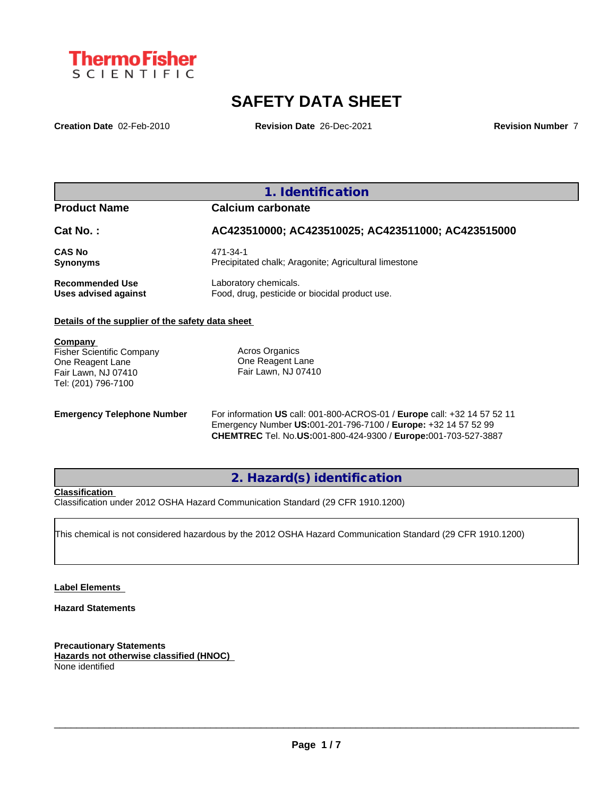

# **SAFETY DATA SHEET**

**Creation Date** 02-Feb-2010 **Revision Date** 26-Dec-2021 **Revision Number** 7

## **1. Identification**

## **Product Name Calcium carbonate**

| Cat No. :          | AC423510000; AC423510025; AC423511000; AC423515000                |
|--------------------|-------------------------------------------------------------------|
| CAS No<br>Synonyms | 471-34-1<br>Precipitated chalk; Aragonite; Agricultural limestone |
| Recommended Use    | Laboratory chemicals.                                             |

#### **Details of the supplier of the safety data sheet**

**Company**  Fisher Scientific Company One Reagent Lane Fair Lawn, NJ 07410 Tel: (201) 796-7100

Acros Organics One Reagent Lane Fair Lawn, NJ 07410

**Emergency Telephone Number** For information **US** call: 001-800-ACROS-01 / **Europe** call: +32 14 57 52 11 Emergency Number **US:**001-201-796-7100 / **Europe:** +32 14 57 52 99 **CHEMTREC** Tel. No.**US:**001-800-424-9300 / **Europe:**001-703-527-3887

## **2. Hazard(s) identification**

#### **Classification**

Classification under 2012 OSHA Hazard Communication Standard (29 CFR 1910.1200)

**Uses advised against** Food, drug, pesticide or biocidal product use.

This chemical is not considered hazardous by the 2012 OSHA Hazard Communication Standard (29 CFR 1910.1200)

#### **Label Elements**

#### **Hazard Statements**

**Precautionary Statements Hazards not otherwise classified (HNOC)** None identified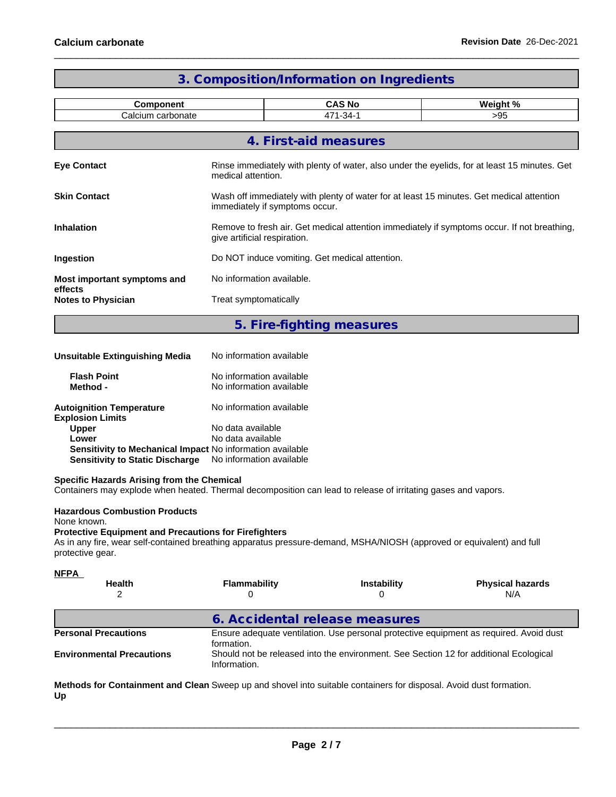|                                        |                                                                                                                             | 3. Composition/Information on Ingredients |          |  |
|----------------------------------------|-----------------------------------------------------------------------------------------------------------------------------|-------------------------------------------|----------|--|
| <b>Component</b>                       |                                                                                                                             | <b>CAS No</b>                             | Weight % |  |
| Calcium carbonate                      |                                                                                                                             | 471-34-1                                  | >95      |  |
|                                        |                                                                                                                             | 4. First-aid measures                     |          |  |
| <b>Eye Contact</b>                     | Rinse immediately with plenty of water, also under the eyelids, for at least 15 minutes. Get<br>medical attention.          |                                           |          |  |
| <b>Skin Contact</b>                    | Wash off immediately with plenty of water for at least 15 minutes. Get medical attention<br>immediately if symptoms occur.  |                                           |          |  |
| <b>Inhalation</b>                      | Remove to fresh air. Get medical attention immediately if symptoms occur. If not breathing,<br>give artificial respiration. |                                           |          |  |
| Ingestion                              | Do NOT induce vomiting. Get medical attention.                                                                              |                                           |          |  |
| Most important symptoms and<br>effects | No information available.                                                                                                   |                                           |          |  |
| <b>Notes to Physician</b>              | Treat symptomatically                                                                                                       |                                           |          |  |
|                                        |                                                                                                                             | 5. Fire-fighting measures                 |          |  |

| <b>Unsuitable Extinguishing Media</b>                      | No information available                             |
|------------------------------------------------------------|------------------------------------------------------|
| <b>Flash Point</b><br>Method -                             | No information available<br>No information available |
| <b>Autoignition Temperature</b><br><b>Explosion Limits</b> | No information available                             |
| <b>Upper</b>                                               | No data available                                    |
| Lower                                                      | No data available                                    |
| Sensitivity to Mechanical Impact No information available  |                                                      |
| <b>Sensitivity to Static Discharge</b>                     | No information available                             |

#### **Specific Hazards Arising from the Chemical**

Containers may explode when heated. Thermal decomposition can lead to release of irritating gases and vapors.

#### **Hazardous Combustion Products**

None known.

### **Protective Equipment and Precautions for Firefighters**

As in any fire, wear self-contained breathing apparatus pressure-demand, MSHA/NIOSH (approved or equivalent) and full protective gear.

| <u>NFPA</u>                      |                                                                                                      |                                                                                       |                                |  |
|----------------------------------|------------------------------------------------------------------------------------------------------|---------------------------------------------------------------------------------------|--------------------------------|--|
| <b>Health</b>                    | <b>Flammability</b>                                                                                  | <b>Instability</b>                                                                    | <b>Physical hazards</b><br>N/A |  |
|                                  | 6. Accidental release measures                                                                       |                                                                                       |                                |  |
| <b>Personal Precautions</b>      | Ensure adequate ventilation. Use personal protective equipment as required. Avoid dust<br>formation. |                                                                                       |                                |  |
| <b>Environmental Precautions</b> | Information.                                                                                         | Should not be released into the environment. See Section 12 for additional Ecological |                                |  |
|                                  |                                                                                                      |                                                                                       |                                |  |

**Methods for Containment and Clean** Sweep up and shovel into suitable containers for disposal. Avoid dust formation. **Up**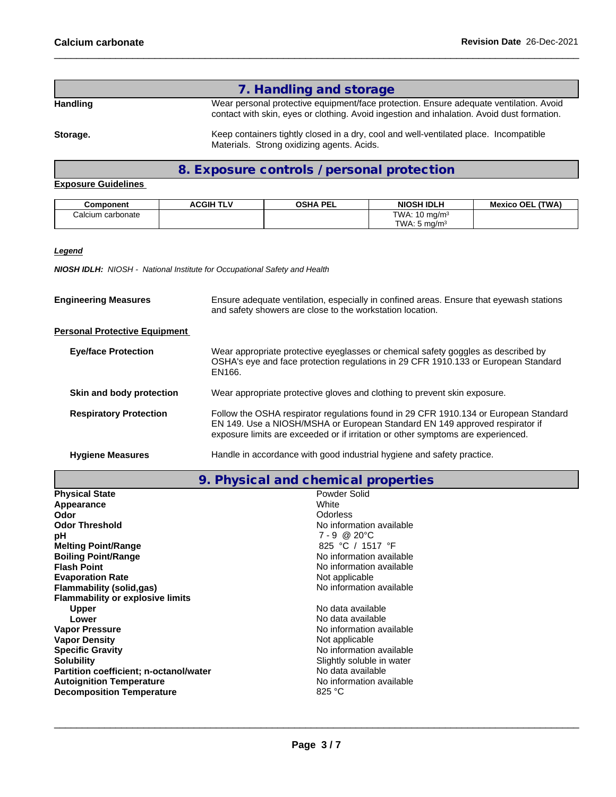## **7. Handling and storage**

**Handling** Wear personal protective equipment/face protection. Ensure adequate ventilation. Avoid contact with skin, eyes or clothing. Avoid ingestion and inhalation. Avoid dust formation.

Storage. **Storage.** Keep containers tightly closed in a dry, cool and well-ventilated place. Incompatible Materials. Strong oxidizing agents. Acids.

## **8. Exposure controls / personal protection**

### **Exposure Guidelines**

| Component         | <b>ACGIH TLV</b> | <b>OSHA PEL</b> | <b>NIOSH IDLH</b>         | (TWA)<br><b>Mexico OEL</b> |
|-------------------|------------------|-----------------|---------------------------|----------------------------|
| Calcium carbonate |                  |                 | TWA: 10 $ma/m3$           |                            |
|                   |                  |                 | TWA.<br>ma/m <sup>3</sup> |                            |

### *Legend*

*NIOSH IDLH: NIOSH - National Institute for Occupational Safety and Health*

| <b>Engineering Measures</b>          | Ensure adequate ventilation, especially in confined areas. Ensure that eyewash stations<br>and safety showers are close to the workstation location.                                                                                                    |  |  |  |
|--------------------------------------|---------------------------------------------------------------------------------------------------------------------------------------------------------------------------------------------------------------------------------------------------------|--|--|--|
| <b>Personal Protective Equipment</b> |                                                                                                                                                                                                                                                         |  |  |  |
| <b>Eye/face Protection</b>           | Wear appropriate protective eyeglasses or chemical safety goggles as described by<br>OSHA's eye and face protection regulations in 29 CFR 1910.133 or European Standard<br>EN166.                                                                       |  |  |  |
| Skin and body protection             | Wear appropriate protective gloves and clothing to prevent skin exposure.                                                                                                                                                                               |  |  |  |
| <b>Respiratory Protection</b>        | Follow the OSHA respirator regulations found in 29 CFR 1910.134 or European Standard<br>EN 149. Use a NIOSH/MSHA or European Standard EN 149 approved respirator if<br>exposure limits are exceeded or if irritation or other symptoms are experienced. |  |  |  |
| <b>Hygiene Measures</b>              | Handle in accordance with good industrial hygiene and safety practice.                                                                                                                                                                                  |  |  |  |
|                                      |                                                                                                                                                                                                                                                         |  |  |  |

**9. Physical and chemical properties**

| <b>Physical State</b>                   | Powder Solid              |
|-----------------------------------------|---------------------------|
| Appearance                              | White                     |
| Odor                                    | Odorless                  |
| <b>Odor Threshold</b>                   | No information available  |
| рH                                      | $7 - 9$ @ 20 $^{\circ}$ C |
| <b>Melting Point/Range</b>              | 825 °C / 1517 °F          |
| <b>Boiling Point/Range</b>              | No information available  |
| <b>Flash Point</b>                      | No information available  |
| <b>Evaporation Rate</b>                 | Not applicable            |
| <b>Flammability (solid,gas)</b>         | No information available  |
| <b>Flammability or explosive limits</b> |                           |
| <b>Upper</b>                            | No data available         |
| Lower                                   | No data available         |
| <b>Vapor Pressure</b>                   | No information available  |
| <b>Vapor Density</b>                    | Not applicable            |
| <b>Specific Gravity</b>                 | No information available  |
| <b>Solubility</b>                       | Slightly soluble in water |
| Partition coefficient; n-octanol/water  | No data available         |
| <b>Autoignition Temperature</b>         | No information available  |
| <b>Decomposition Temperature</b>        | 825 °C                    |
|                                         |                           |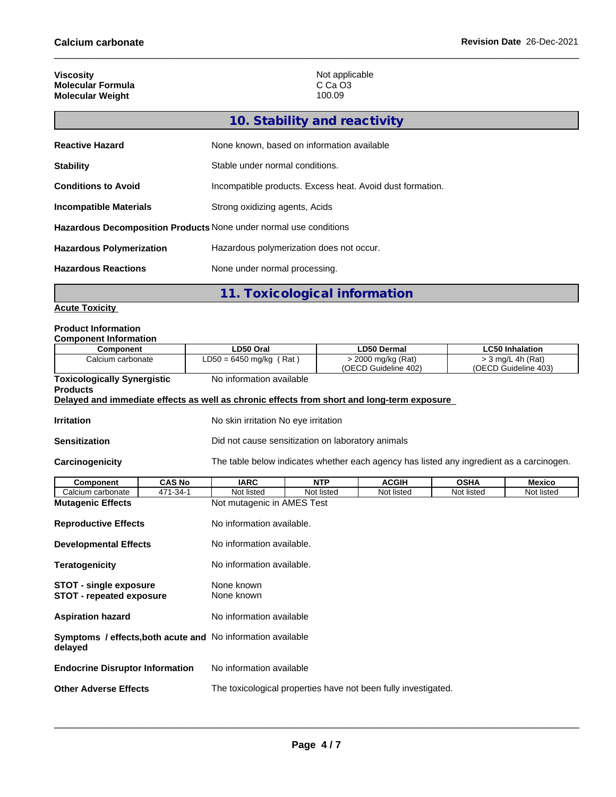| <b>Viscosity</b>         | Not applicable |
|--------------------------|----------------|
| <b>Molecular Formula</b> | C Ca O3        |
| <b>Molecular Weight</b>  | 100.09         |

| 10. Stability and reactivity                                             |                                                           |  |  |  |
|--------------------------------------------------------------------------|-----------------------------------------------------------|--|--|--|
| <b>Reactive Hazard</b>                                                   | None known, based on information available                |  |  |  |
| <b>Stability</b>                                                         | Stable under normal conditions.                           |  |  |  |
| <b>Conditions to Avoid</b>                                               | Incompatible products. Excess heat. Avoid dust formation. |  |  |  |
| Strong oxidizing agents, Acids<br><b>Incompatible Materials</b>          |                                                           |  |  |  |
| <b>Hazardous Decomposition Products None under normal use conditions</b> |                                                           |  |  |  |
| <b>Hazardous Polymerization</b>                                          | Hazardous polymerization does not occur.                  |  |  |  |
| <b>Hazardous Reactions</b>                                               | None under normal processing.                             |  |  |  |

**11. Toxicological information**

#### **Acute Toxicity**

#### **Product Information Component Information**

| Component information                                            |                          |                                                                                            |                                                                |                                            |             |                                             |  |  |  |
|------------------------------------------------------------------|--------------------------|--------------------------------------------------------------------------------------------|----------------------------------------------------------------|--------------------------------------------|-------------|---------------------------------------------|--|--|--|
| <b>Component</b>                                                 |                          | LD50 Oral                                                                                  |                                                                | <b>LD50 Dermal</b>                         |             | <b>LC50 Inhalation</b>                      |  |  |  |
| Calcium carbonate                                                |                          | $LD50 = 6450$ mg/kg (Rat)                                                                  |                                                                | > 2000 mg/kg (Rat)<br>(OECD Guideline 402) |             | $>$ 3 mg/L 4h (Rat)<br>(OECD Guideline 403) |  |  |  |
| <b>Toxicologically Synergistic</b>                               |                          | No information available                                                                   |                                                                |                                            |             |                                             |  |  |  |
| <b>Products</b>                                                  |                          |                                                                                            |                                                                |                                            |             |                                             |  |  |  |
|                                                                  |                          | Delayed and immediate effects as well as chronic effects from short and long-term exposure |                                                                |                                            |             |                                             |  |  |  |
| <b>Irritation</b>                                                |                          | No skin irritation No eye irritation                                                       |                                                                |                                            |             |                                             |  |  |  |
| Sensitization                                                    |                          | Did not cause sensitization on laboratory animals                                          |                                                                |                                            |             |                                             |  |  |  |
| <b>Carcinogenicity</b>                                           |                          | The table below indicates whether each agency has listed any ingredient as a carcinogen.   |                                                                |                                            |             |                                             |  |  |  |
| <b>Component</b>                                                 | <b>CAS No</b>            | <b>IARC</b>                                                                                | <b>NTP</b>                                                     | <b>ACGIH</b>                               | <b>OSHA</b> | <b>Mexico</b>                               |  |  |  |
| Calcium carbonate                                                | 471-34-1                 | Not listed                                                                                 | Not listed                                                     | Not listed                                 | Not listed  | Not listed                                  |  |  |  |
| <b>Mutagenic Effects</b>                                         |                          |                                                                                            | Not mutagenic in AMES Test                                     |                                            |             |                                             |  |  |  |
| <b>Reproductive Effects</b>                                      |                          |                                                                                            | No information available.                                      |                                            |             |                                             |  |  |  |
| <b>Developmental Effects</b>                                     |                          |                                                                                            | No information available.                                      |                                            |             |                                             |  |  |  |
| <b>Teratogenicity</b>                                            |                          |                                                                                            | No information available.                                      |                                            |             |                                             |  |  |  |
| <b>STOT - single exposure</b><br><b>STOT - repeated exposure</b> |                          | None known<br>None known                                                                   |                                                                |                                            |             |                                             |  |  |  |
| <b>Aspiration hazard</b>                                         | No information available |                                                                                            |                                                                |                                            |             |                                             |  |  |  |
| delayed                                                          |                          | Symptoms / effects, both acute and No information available                                |                                                                |                                            |             |                                             |  |  |  |
| <b>Endocrine Disruptor Information</b>                           |                          | No information available                                                                   |                                                                |                                            |             |                                             |  |  |  |
| <b>Other Adverse Effects</b>                                     |                          |                                                                                            | The toxicological properties have not been fully investigated. |                                            |             |                                             |  |  |  |
|                                                                  |                          |                                                                                            |                                                                |                                            |             |                                             |  |  |  |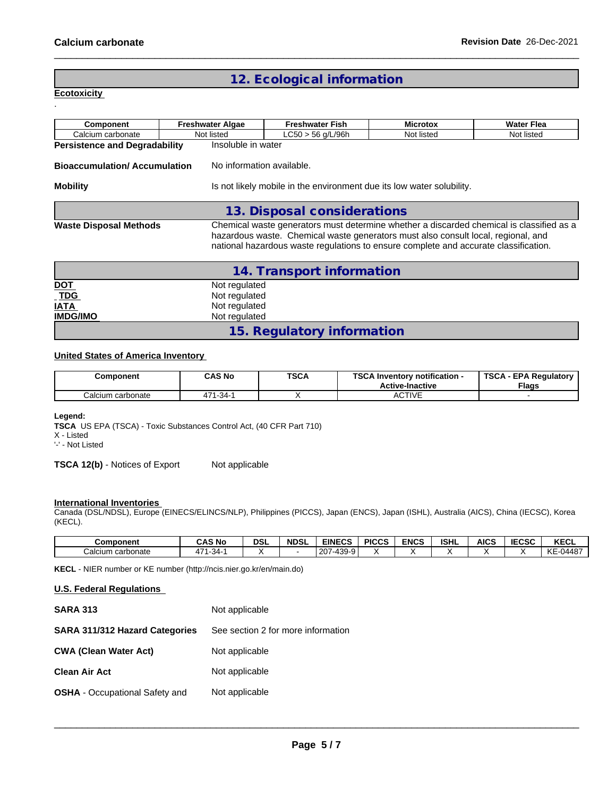## **12. Ecological information**

**Ecotoxicity**  .

| Component                            | <b>Freshwater Algae</b>   | <b>Freshwater Fish</b>                                                                                                                                                                                                                                                | <b>Microtox</b> | <b>Water Flea</b> |  |  |
|--------------------------------------|---------------------------|-----------------------------------------------------------------------------------------------------------------------------------------------------------------------------------------------------------------------------------------------------------------------|-----------------|-------------------|--|--|
| Calcium carbonate                    | Not listed                | $LC50 > 56$ g/L/96h                                                                                                                                                                                                                                                   | Not listed      | Not listed        |  |  |
| <b>Persistence and Degradability</b> | Insoluble in water        |                                                                                                                                                                                                                                                                       |                 |                   |  |  |
| <b>Bioaccumulation/Accumulation</b>  | No information available. |                                                                                                                                                                                                                                                                       |                 |                   |  |  |
| <b>Mobility</b>                      |                           | Is not likely mobile in the environment due its low water solubility.                                                                                                                                                                                                 |                 |                   |  |  |
|                                      |                           | 13. Disposal considerations                                                                                                                                                                                                                                           |                 |                   |  |  |
| <b>Waste Disposal Methods</b>        |                           | Chemical waste generators must determine whether a discarded chemical is classified as a<br>hazardous waste. Chemical waste generators must also consult local, regional, and<br>national hazardous waste regulations to ensure complete and accurate classification. |                 |                   |  |  |

|                   | 14. Transport information  |
|-------------------|----------------------------|
|                   | Not regulated              |
| <u>DOT</u><br>TDG | Not regulated              |
| <b>IATA</b>       | Not regulated              |
| <b>IMDG/IMO</b>   | Not regulated              |
|                   | 15. Regulatory information |

### **United States of America Inventory**

| Component         | CAS No     | <b>TSCA</b> | TOO AL<br>Inventory notification -<br>.<br><b>Active-Inactive</b> | <b>TSCA</b><br><b>EPA Regulatory</b><br><b>Flags</b> |
|-------------------|------------|-------------|-------------------------------------------------------------------|------------------------------------------------------|
| Calcium carbonate | $171-34-1$ |             | <b>ACTIVE</b>                                                     |                                                      |

#### **Legend:**

**TSCA** US EPA (TSCA) - Toxic Substances Control Act, (40 CFR Part 710) X - Listed

'-' - Not Listed

**TSCA 12(b)** - Notices of Export Not applicable

#### **International Inventories**

Canada (DSL/NDSL), Europe (EINECS/ELINCS/NLP), Philippines (PICCS), Japan (ENCS), Japan (ISHL), Australia (AICS), China (IECSC), Korea (KECL).

| <b>Component</b>     | <b>CAS No</b>           | DSI | <b>NDSL</b> | <b>EINECS</b>                            | <b>PICCS</b> | <b>ENCS</b> | <b>ISHL</b> | <b>AICS</b> | 10000<br>IELOL | <b>KECL</b>                   |
|----------------------|-------------------------|-----|-------------|------------------------------------------|--------------|-------------|-------------|-------------|----------------|-------------------------------|
| carbonate<br>Calcium | $\overline{7}$<br>$-34$ |     |             | 130.<br>ാല<br>0-،<br>' ت∟.<br>- 0<br>. . |              |             |             |             |                | $-04487$<br>$\sqrt{2}$<br>"NL |

**KECL** - NIER number or KE number (http://ncis.nier.go.kr/en/main.do)

#### **U.S. Federal Regulations**

| <b>SARA 313</b>                       | Not applicable                     |
|---------------------------------------|------------------------------------|
| <b>SARA 311/312 Hazard Categories</b> | See section 2 for more information |
| <b>CWA (Clean Water Act)</b>          | Not applicable                     |
| <b>Clean Air Act</b>                  | Not applicable                     |
| <b>OSHA</b> - Occupational Safety and | Not applicable                     |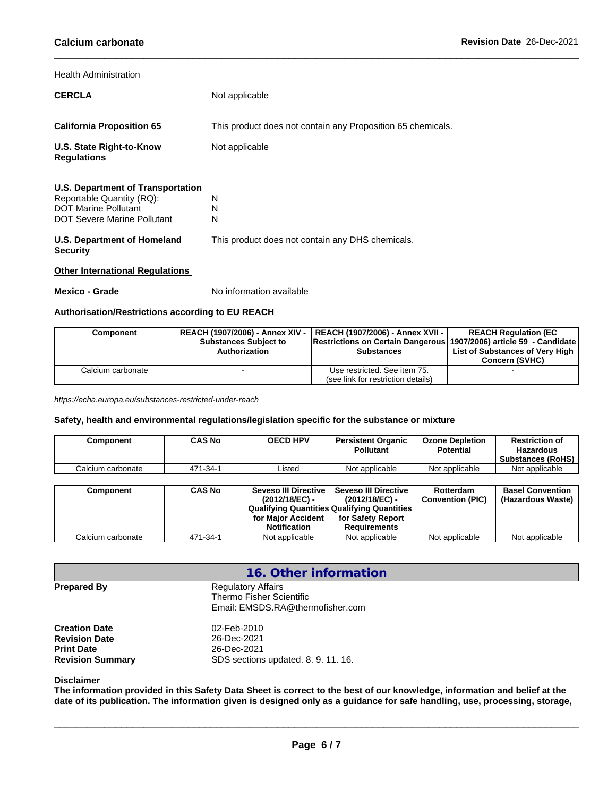#### Health Administration

| <b>CERCLA</b>                                                                                                                | Not applicable                                              |  |  |  |  |
|------------------------------------------------------------------------------------------------------------------------------|-------------------------------------------------------------|--|--|--|--|
|                                                                                                                              |                                                             |  |  |  |  |
| <b>California Proposition 65</b>                                                                                             | This product does not contain any Proposition 65 chemicals. |  |  |  |  |
| U.S. State Right-to-Know<br><b>Regulations</b>                                                                               | Not applicable                                              |  |  |  |  |
| U.S. Department of Transportation<br>Reportable Quantity (RQ):<br><b>DOT Marine Pollutant</b><br>DOT Severe Marine Pollutant | N<br>N<br>N                                                 |  |  |  |  |
| U.S. Department of Homeland<br><b>Security</b>                                                                               | This product does not contain any DHS chemicals.            |  |  |  |  |
| <b>Other International Regulations</b>                                                                                       |                                                             |  |  |  |  |

**Mexico - Grade** No information available

### **Authorisation/Restrictions according to EU REACH**

| Component         | <b>Substances Subject to</b><br>Authorization | REACH (1907/2006) - Annex XIV -   REACH (1907/2006) - Annex XVII -  <br> Restrictions on Certain Dangerous   1907/2006) article 59 - Candidate  <br><b>Substances</b> | <b>REACH Regulation (EC</b><br>List of Substances of Very High<br><b>Concern (SVHC)</b> |
|-------------------|-----------------------------------------------|-----------------------------------------------------------------------------------------------------------------------------------------------------------------------|-----------------------------------------------------------------------------------------|
| Calcium carbonate |                                               | Use restricted. See item 75.<br>(see link for restriction details)                                                                                                    |                                                                                         |

*https://echa.europa.eu/substances-restricted-under-reach*

### **Safety, health and environmental regulations/legislation specific for the substance or mixture**

| Component         | <b>CAS No</b> | <b>OECD HPV</b>                           | <b>Persistent Organic</b><br><b>Pollutant</b> | <b>Ozone Depletion</b><br><b>Potential</b> | <b>Restriction of</b><br><b>Hazardous</b><br><b>Substances (RoHS)</b> |
|-------------------|---------------|-------------------------------------------|-----------------------------------------------|--------------------------------------------|-----------------------------------------------------------------------|
| Calcium carbonate | 471-34-1      | Listed                                    | Not applicable                                | Not applicable                             | Not applicable                                                        |
|                   |               |                                           |                                               |                                            |                                                                       |
| Component         | <b>CAS No</b> | Seveso III Directive I<br>(2012/18/EC) -  | <b>Seveso III Directive</b><br>(2012/18/EC) - | Rotterdam<br><b>Convention (PIC)</b>       | <b>Basel Convention</b><br>(Hazardous Waste)                          |
|                   |               |                                           | Qualifying Quantities Qualifying Quantities   |                                            |                                                                       |
|                   |               | for Major Accident<br><b>Notification</b> | for Safety Report<br><b>Requirements</b>      |                                            |                                                                       |
| Calcium carbonate | 471-34-1      | Not applicable                            | Not applicable                                | Not applicable                             | Not applicable                                                        |

|                                                                                              | 16. Other information                                                                     |
|----------------------------------------------------------------------------------------------|-------------------------------------------------------------------------------------------|
| <b>Prepared By</b>                                                                           | <b>Regulatory Affairs</b><br>Thermo Fisher Scientific<br>Email: EMSDS.RA@thermofisher.com |
| <b>Creation Date</b><br><b>Revision Date</b><br><b>Print Date</b><br><b>Revision Summary</b> | 02-Feb-2010<br>26-Dec-2021<br>26-Dec-2021<br>SDS sections updated, 8, 9, 11, 16.          |

#### **Disclaimer**

The information provided in this Safety Data Sheet is correct to the best of our knowledge, information and belief at the date of its publication. The information given is designed only as a guidance for safe handling, use, processing, storage,